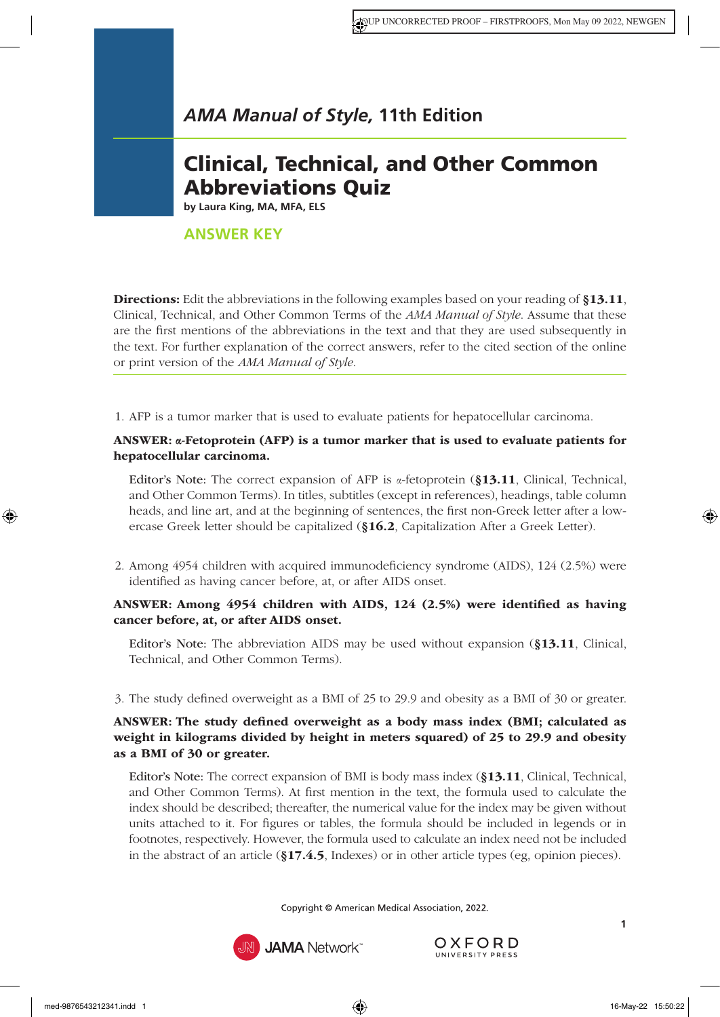# Clinical, Technical, and Other Common Abbreviations Quiz

**by Laura King, MA, MFA, ELS**

# **ANSWER KEY**

**Directions:** Edit the abbreviations in the following examples based on your reading of [§13.11](https://www.amamanualofstyle.com/view/10.1093/jama/9780190246556.001.0001/med-9780190246556-chapter-13-div1-48), [Clinical, Technical, and Other Common Terms o](https://www.amamanualofstyle.com/view/10.1093/jama/9780190246556.001.0001/med-9780190246556-chapter-13-div1-48)f the *AMA Manual of Style*. Assume that these are the first mentions of the abbreviations in the text and that they are used subsequently in the text. For further explanation of the correct answers, refer to the cited section of the online or print version of the *AMA Manual of Style*.

1. AFP is a tumor marker that is used to evaluate patients for hepatocellular carcinoma.

# ANSWER: α-Fetoprotein (AFP) is a tumor marker that is used to evaluate patients for hepatocellular carcinoma.

Editor's Note: The correct expansion of AFP is  $\alpha$ -fetoprotein (§13.11, Clinical, Technical, [and Other Common Terms\)](https://www.amamanualofstyle.com/view/10.1093/jama/9780190246556.001.0001/med-9780190246556-chapter-13-div1-48). In titles, subtitles (except in references), headings, table column heads, and line art, and at the beginning of sentences, the first non-Greek letter after a lowercase Greek letter should be capitalized (§16.2[, Capitalization After a Greek Letter\)](https://www.amamanualofstyle.com/view/10.1093/jama/9780190246556.001.0001/med-9780190246556-chapter-16-div1-3).

2. Among 4954 children with acquired immunodeficiency syndrome (AIDS), 124 (2.5%) were identified as having cancer before, at, or after AIDS onset.

# ANSWER: Among 4954 children with AIDS, 124 (2.5%) were identified as having cancer before, at, or after AIDS onset.

Editor's Note: The abbreviation AIDS may be used without expansion (§13.11[, Clinical,](https://www.amamanualofstyle.com/view/10.1093/jama/9780190246556.001.0001/med-9780190246556-chapter-13-div1-48) [Technical, and Other Common Terms\)](https://www.amamanualofstyle.com/view/10.1093/jama/9780190246556.001.0001/med-9780190246556-chapter-13-div1-48).

3. The study defined overweight as a BMI of 25 to 29.9 and obesity as a BMI of 30 or greater.

# ANSWER: The study defined overweight as a body mass index (BMI; calculated as weight in kilograms divided by height in meters squared) of 25 to 29.9 and obesity as a BMI of 30 or greater.

Editor's Note: The correct expansion of BMI is body mass index (§13.11[, Clinical, Technical,](https://www.amamanualofstyle.com/view/10.1093/jama/9780190246556.001.0001/med-9780190246556-chapter-13-div1-48)  [and Other Common Terms\)](https://www.amamanualofstyle.com/view/10.1093/jama/9780190246556.001.0001/med-9780190246556-chapter-13-div1-48). At first mention in the text, the formula used to calculate the index should be described; thereafter, the numerical value for the index may be given without units attached to it. For figures or tables, the formula should be included in legends or in footnotes, respectively. However, the formula used to calculate an index need not be included in the abstract of an article (§17.4.5[, Indexes\)](https://www.amamanualofstyle.com/view/10.1093/jama/9780190246556.001.0001/med-9780190246556-chapter-17-div2-21) or in other article types (eg, opinion pieces).



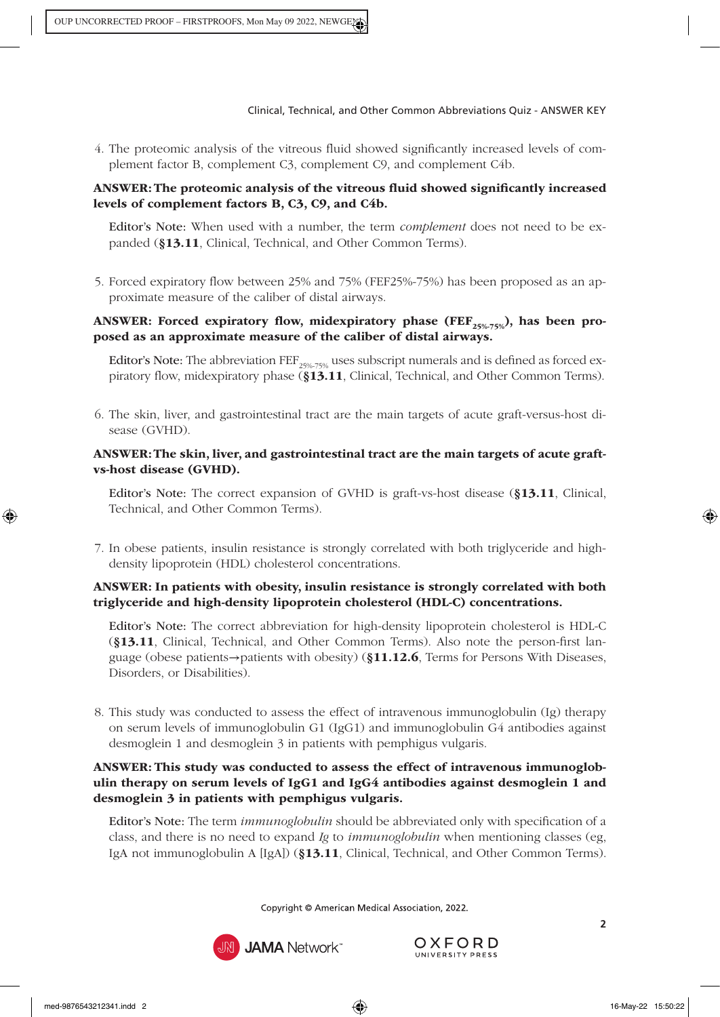4. The proteomic analysis of the vitreous fluid showed significantly increased levels of complement factor B, complement C3, complement C9, and complement C4b.

# ANSWER: The proteomic analysis of the vitreous fluid showed significantly increased levels of complement factors B, C3, C9, and C4b.

Editor's Note: When used with a number, the term *complement* does not need to be expanded (§13.11[, Clinical, Technical, and Other Common Terms\)](https://www.amamanualofstyle.com/view/10.1093/jama/9780190246556.001.0001/med-9780190246556-chapter-13-div1-48).

5. Forced expiratory flow between 25% and 75% (FEF25%-75%) has been proposed as an approximate measure of the caliber of distal airways.

# ANSWER: Forced expiratory flow, midexpiratory phase (FEF<sub>25%-75%</sub>), has been proposed as an approximate measure of the caliber of distal airways.

Editor's Note: The abbreviation FEF<sub>25%-75%</sub> uses subscript numerals and is defined as forced expiratory flow, midexpiratory phase (§13.11[, Clinical, Technical, and Other Common Terms](https://www.amamanualofstyle.com/view/10.1093/jama/9780190246556.001.0001/med-9780190246556-chapter-13-div1-48)).

6. The skin, liver, and gastrointestinal tract are the main targets of acute graft-versus-host disease (GVHD).

#### ANSWER: The skin, liver, and gastrointestinal tract are the main targets of acute graftvs-host disease (GVHD).

Editor's Note: The correct expansion of GVHD is graft-vs-host disease (§13.11[, Clinical,](https://www.amamanualofstyle.com/view/10.1093/jama/9780190246556.001.0001/med-9780190246556-chapter-13-div1-48) [Technical, and Other Common Terms\).](https://www.amamanualofstyle.com/view/10.1093/jama/9780190246556.001.0001/med-9780190246556-chapter-13-div1-48)

7. In obese patients, insulin resistance is strongly correlated with both triglyceride and highdensity lipoprotein (HDL) cholesterol concentrations.

# ANSWER: In patients with obesity, insulin resistance is strongly correlated with both triglyceride and high-density lipoprotein cholesterol (HDL-C) concentrations.

Editor's Note: The correct abbreviation for high-density lipoprotein cholesterol is HDL-C (§13.11[, Clinical, Technical, and Other Common Terms\).](https://www.amamanualofstyle.com/view/10.1093/jama/9780190246556.001.0001/med-9780190246556-chapter-13-div1-48) Also note the person-first language (obese patients→patients with obesity) (§11.12.6[, Terms for Persons With Diseases,](https://www.amamanualofstyle.com/view/10.1093/jama/9780190246556.001.0001/med-9780190246556-chapter-11-div2-26)  [Disorders, or Disabilities\).](https://www.amamanualofstyle.com/view/10.1093/jama/9780190246556.001.0001/med-9780190246556-chapter-11-div2-26)

8. This study was conducted to assess the effect of intravenous immunoglobulin (Ig) therapy on serum levels of immunoglobulin G1 (IgG1) and immunoglobulin G4 antibodies against desmoglein 1 and desmoglein 3 in patients with pemphigus vulgaris.

# ANSWER: This study was conducted to assess the effect of intravenous immunoglobulin therapy on serum levels of IgG1 and IgG4 antibodies against desmoglein 1 and desmoglein 3 in patients with pemphigus vulgaris.

Editor's Note: The term *immunoglobulin* should be abbreviated only with specification of a class, and there is no need to expand *Ig* to *immunoglobulin* when mentioning classes (eg, IgA not immunoglobulin A [IgA]) (§13.11[, Clinical, Technical, and Other Common Terms\).](https://www.amamanualofstyle.com/view/10.1093/jama/9780190246556.001.0001/med-9780190246556-chapter-13-div1-48)

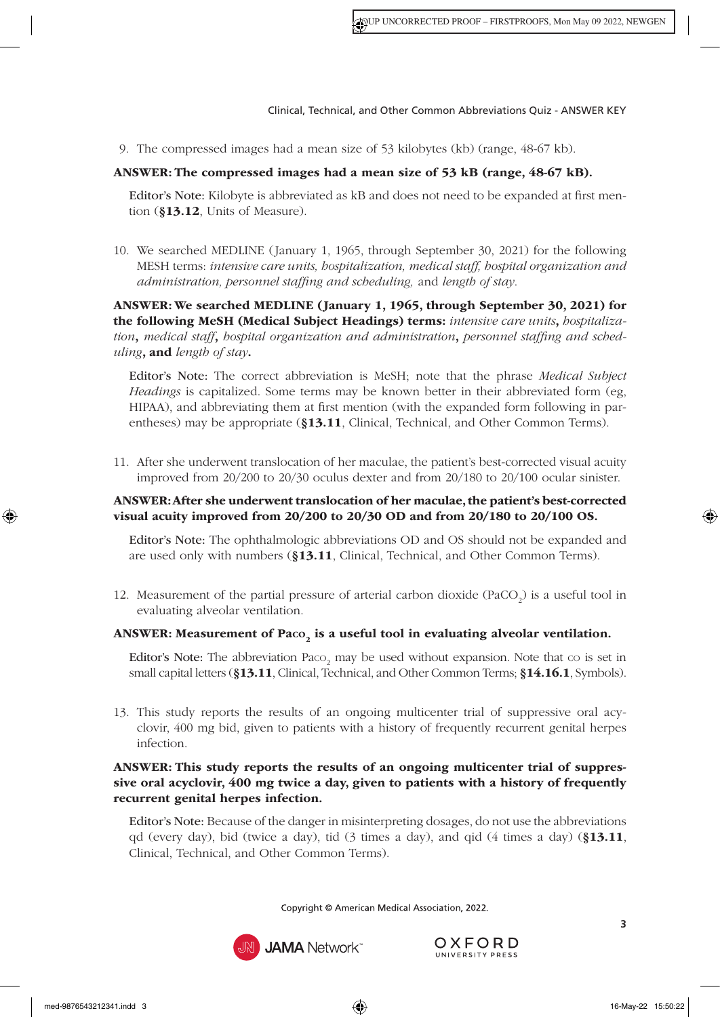9. The compressed images had a mean size of 53 kilobytes (kb) (range, 48-67 kb).

# ANSWER: The compressed images had a mean size of 53 kB (range, 48-67 kB).

Editor's Note: Kilobyte is abbreviated as kB and does not need to be expanded at first mention (§13.12[, Units of Measure\).](https://www.amamanualofstyle.com/view/10.1093/jama/9780190246556.001.0001/med-9780190246556-chapter-13-div1-49)

10. We searched MEDLINE (January 1, 1965, through September 30, 2021) for the following MESH terms: *intensive care units, hospitalization, medical staff, hospital organization and administration, personnel staffing and scheduling,* and *length of stay*.

ANSWER: We searched MEDLINE (January 1, 1965, through September 30, 2021) for the following MeSH (Medical Subject Headings) terms: *intensive care units*, *hospitalization*, *medical staff*, *hospital organization and administration*, *personnel staffing and scheduling*, and *length of stay*.

Editor's Note: The correct abbreviation is MeSH; note that the phrase *Medical Subject Headings* is capitalized. Some terms may be known better in their abbreviated form (eg, HIPAA), and abbreviating them at first mention (with the expanded form following in parentheses) may be appropriate (§13.11[, Clinical, Technical, and Other Common Terms](https://www.amamanualofstyle.com/view/10.1093/jama/9780190246556.001.0001/med-9780190246556-chapter-13-div1-48)).

11. After she underwent translocation of her maculae, the patient's best-corrected visual acuity improved from 20/200 to 20/30 oculus dexter and from 20/180 to 20/100 ocular sinister.

# ANSWER: After she underwent translocation of her maculae, the patient's best-corrected visual acuity improved from 20/200 to 20/30 OD and from 20/180 to 20/100 OS.

Editor's Note: The ophthalmologic abbreviations OD and OS should not be expanded and are used only with numbers (§13.11[, Clinical, Technical, and Other Common Terms\)](https://www.amamanualofstyle.com/view/10.1093/jama/9780190246556.001.0001/med-9780190246556-chapter-13-div1-48).

12. Measurement of the partial pressure of arterial carbon dioxide  $(PaCO<sub>2</sub>)$  is a useful tool in evaluating alveolar ventilation.

#### ANSWER: Measurement of Paco<sub>2</sub> is a useful tool in evaluating alveolar ventilation.

**Editor's Note:** The abbreviation  $Paco_2$  may be used without expansion. Note that  $co$  is set in small capital letters (§13.11[, Clinical, Technical, and Other Common Terms;](https://www.amamanualofstyle.com/view/10.1093/jama/9780190246556.001.0001/med-9780190246556-chapter-13-div1-48) §14.16.1[, Symbols\).](https://www.amamanualofstyle.com/view/10.1093/jama/9780190246556.001.0001/med-9780190246556-chapter-14-div2-86)

13. This study reports the results of an ongoing multicenter trial of suppressive oral acyclovir, 400 mg bid, given to patients with a history of frequently recurrent genital herpes infection.

# ANSWER: This study reports the results of an ongoing multicenter trial of suppressive oral acyclovir, 400 mg twice a day, given to patients with a history of frequently recurrent genital herpes infection.

Editor's Note: Because of the danger in misinterpreting dosages, do not use the abbreviations qd (every day), bid (twice a day), tid  $(3 \text{ times a day})$ , and qid  $(4 \text{ times a day})$  ([§13.11](https://www.amamanualofstyle.com/view/10.1093/jama/9780190246556.001.0001/med-9780190246556-chapter-13-div1-48), [Clinical, Technical, and Other Common Terms\)](https://www.amamanualofstyle.com/view/10.1093/jama/9780190246556.001.0001/med-9780190246556-chapter-13-div1-48).